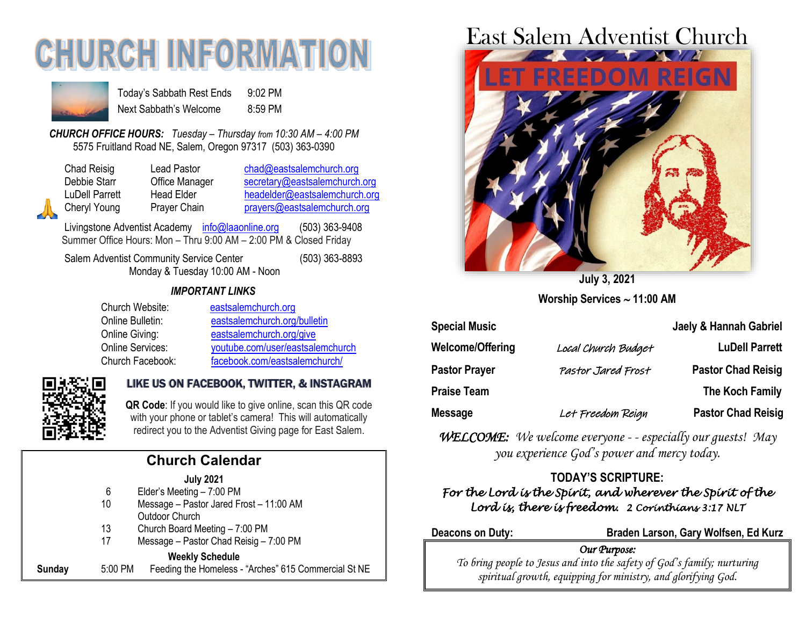# **CHURCH INFORMAT**



Today's Sabbath Rest Ends 9:02 PM Next Sabbath's Welcome 8:59 PM

*CHURCH OFFICE HOURS: Tuesday – Thursday from 10:30 AM – 4:00 PM* 5575 Fruitland Road NE, Salem, Oregon 97317 (503) 363-0390

Chad Reisig Lead Pastor [chad@eastsalemchurch.org](mailto:chad@eastsalemchurch.org) Debbie Starr Office Manager [secretary@eastsalemchurch.org](mailto:secretary@eastsalemchurch.org) LuDell Parrett Head Elder [headelder@eastsalemchurch.org](mailto:headelder@eastsalemchurch.org) Cheryl Young Prayer Chain [prayers@eastsalemchurch.org](mailto:prayers@eastsalemchurch.org)

Livingstone Adventist Academy [info@laaonline.org](mailto:info@laaonline.org) (503) 363-9408 Summer Office Hours: Mon – Thru 9:00 AM – 2:00 PM & Closed Friday

Salem Adventist Community Service Center (503) 363-8893 Monday & Tuesday 10:00 AM - Noon

#### *IMPORTANT LINKS*

| Church Website:  | eastsalemchurch.org              |
|------------------|----------------------------------|
| Online Bulletin: | eastsalemchurch.org/bulletin     |
| Online Giving:   | eastsalemchurch.org/give         |
| Online Services: | youtube.com/user/eastsalemchurch |
| Church Facebook: | facebook.com/eastsalemchurch/    |



# LIKE US ON FACEBOOK, TWITTER, & INSTAGRAM

**QR Code**: If you would like to give online, scan this QR code with your phone or tablet's camera! This will automatically redirect you to the Adventist Giving page for East Salem.

| <b>Church Calendar</b> |                                                      |  |  |
|------------------------|------------------------------------------------------|--|--|
|                        | <b>July 2021</b>                                     |  |  |
| 6                      | Elder's Meeting - 7:00 PM                            |  |  |
| 10                     | Message - Pastor Jared Frost - 11:00 AM              |  |  |
|                        | <b>Outdoor Church</b>                                |  |  |
| 13                     | Church Board Meeting - 7:00 PM                       |  |  |
| 17                     | Message - Pastor Chad Reisig - 7:00 PM               |  |  |
|                        | <b>Weekly Schedule</b>                               |  |  |
|                        | Feeding the Homeless - "Arches" 615 Commercial St NE |  |  |
|                        | 5:00 PM                                              |  |  |

# East Salem Adventist Church



**July 3, 2021 Worship Services 11:00 AM**

| <b>Special Music</b>    |                     | <b>Jaely &amp; Hannah Gabriel</b> |
|-------------------------|---------------------|-----------------------------------|
| <b>Welcome/Offering</b> | Local Church Budget | <b>LuDell Parrett</b>             |
| <b>Pastor Prayer</b>    | Pastor Jared Frost  | <b>Pastor Chad Reisig</b>         |
| <b>Praise Team</b>      |                     | The Koch Family                   |
| <b>Message</b>          | Let Freedom Reign   | <b>Pastor Chad Reisig</b>         |

*WELCOME: We welcome everyone - - especially our guests! May you experience God's power and mercy today.*

## **TODAY'S SCRIPTURE:**

### *For the Lord is the Spirit, and wherever the Spirit of the Lord is, there is freedom. 2 Corinthians 3:17 NLT*

#### **Deacons on Duty: Braden Larson, Gary Wolfsen, Ed Kurz**

#### *Our Purpose:*

*To bring people to Jesus and into the safety of God's family; nurturing spiritual growth, equipping for ministry, and glorifying God.*